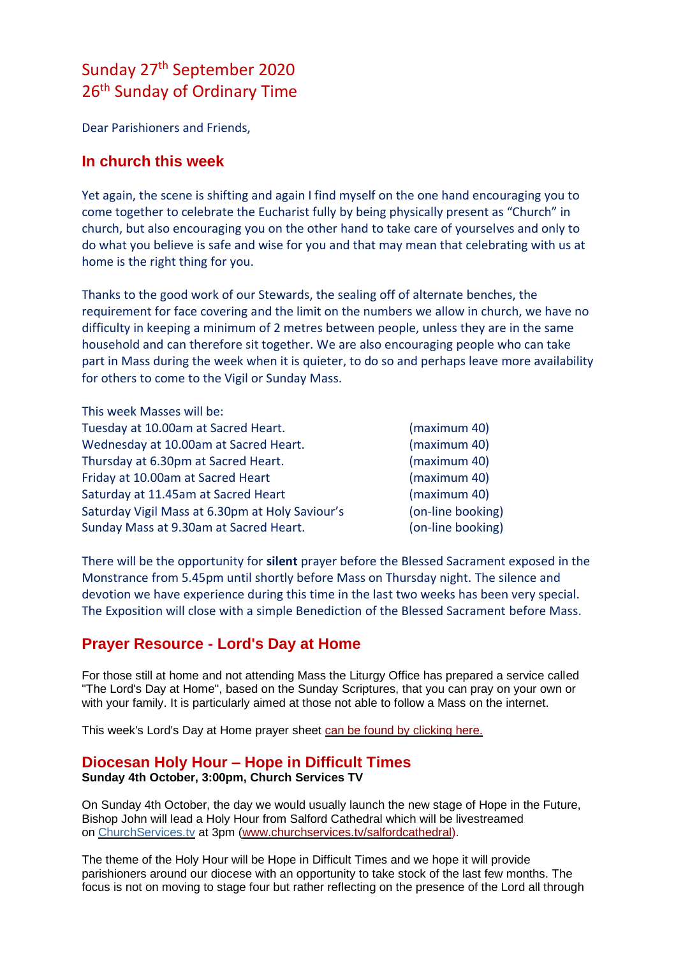# Sunday 27<sup>th</sup> September 2020 26<sup>th</sup> Sunday of Ordinary Time

Dear Parishioners and Friends,

#### **In church this week**

Yet again, the scene is shifting and again I find myself on the one hand encouraging you to come together to celebrate the Eucharist fully by being physically present as "Church" in church, but also encouraging you on the other hand to take care of yourselves and only to do what you believe is safe and wise for you and that may mean that celebrating with us at home is the right thing for you.

Thanks to the good work of our Stewards, the sealing off of alternate benches, the requirement for face covering and the limit on the numbers we allow in church, we have no difficulty in keeping a minimum of 2 metres between people, unless they are in the same household and can therefore sit together. We are also encouraging people who can take part in Mass during the week when it is quieter, to do so and perhaps leave more availability for others to come to the Vigil or Sunday Mass.

| This week Masses will be:                       |                   |
|-------------------------------------------------|-------------------|
| Tuesday at 10.00am at Sacred Heart.             | (maximum 40)      |
| Wednesday at 10.00am at Sacred Heart.           | (maximum 40)      |
| Thursday at 6.30pm at Sacred Heart.             | (maximum 40)      |
| Friday at 10.00am at Sacred Heart               | (maximum 40)      |
| Saturday at 11.45am at Sacred Heart             | (maximum 40)      |
| Saturday Vigil Mass at 6.30pm at Holy Saviour's | (on-line booking) |
| Sunday Mass at 9.30am at Sacred Heart.          | (on-line booking) |

There will be the opportunity for **silent** prayer before the Blessed Sacrament exposed in the Monstrance from 5.45pm until shortly before Mass on Thursday night. The silence and devotion we have experience during this time in the last two weeks has been very special. The Exposition will close with a simple Benediction of the Blessed Sacrament before Mass.

## **Prayer Resource - Lord's Day at Home**

For those still at home and not attending Mass the Liturgy Office has prepared a service called "The Lord's Day at Home", based on the Sunday Scriptures, that you can pray on your own or with your family. It is particularly aimed at those not able to follow a Mass on the internet.

This week's Lord's Day at Home prayer sheet [can be found by clicking here.](https://dioceseofsalford.us6.list-manage.com/track/click?u=76e219dab8653b775ba8aac4c&id=2600f62c9d&e=5ce69633f0)

#### **Diocesan Holy Hour – Hope in Difficult Times Sunday 4th October, 3:00pm, Church Services TV**

On Sunday 4th October, the day we would usually launch the new stage of Hope in the Future, Bishop John will lead a Holy Hour from Salford Cathedral which will be livestreamed on [ChurchServices.tv](http://churchservices.tv/) at 3pm [\(www.churchservices.tv/salfordcathedral\)](https://dioceseofsalford.us6.list-manage.com/track/click?u=76e219dab8653b775ba8aac4c&id=9e93c57517&e=5ce69633f0).

The theme of the Holy Hour will be Hope in Difficult Times and we hope it will provide parishioners around our diocese with an opportunity to take stock of the last few months. The focus is not on moving to stage four but rather reflecting on the presence of the Lord all through